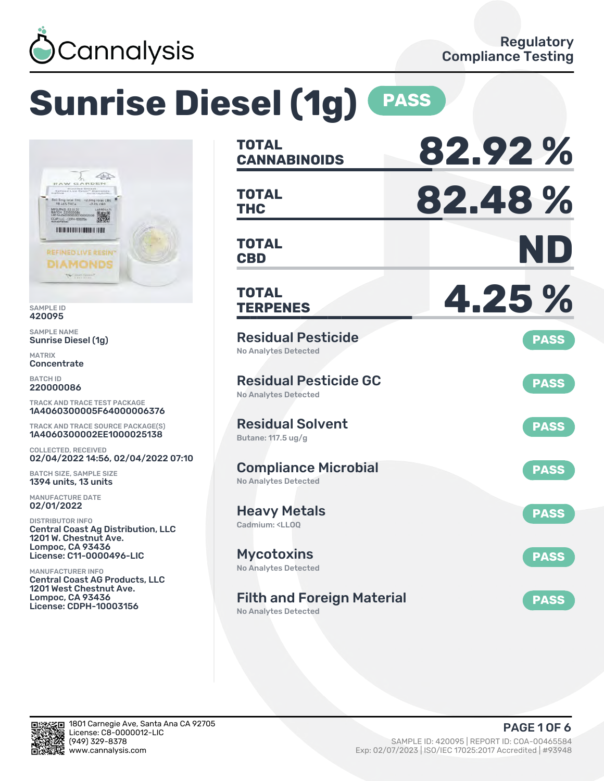

# **Sunrise Diesel (1g) PASS**



SAMPLE ID 420095

SAMPLE NAME Sunrise Diesel (1g)

MATRIX **Concentrate** 

BATCH ID 220000086

TRACK AND TRACE TEST PACKAGE 1A4060300005F64000006376

TRACK AND TRACE SOURCE PACKAGE(S) 1A4060300002EE1000025138

COLLECTED, RECEIVED 02/04/2022 14:56, 02/04/2022 07:10

BATCH SIZE, SAMPLE SIZE 1394 units, 13 units

MANUFACTURE DATE 02/01/2022

DISTRIBUTOR INFO Central Coast Ag Distribution, LLC 1201 W. Chestnut Ave. Lompoc, CA 93436 License: C11-0000496-LIC

MANUFACTURER INFO Central Coast AG Products, LLC 1201 West Chestnut Ave. Lompoc, CA 93436 License: CDPH-10003156

| <b>TOTAL</b><br><b>CANNABINOIDS</b>                                       | 82.92%      |
|---------------------------------------------------------------------------|-------------|
| <b>TOTAL</b><br><b>THC</b>                                                | 82.48%      |
| <b>TOTAL</b><br><b>CBD</b>                                                | ND          |
| <b>TOTAL</b><br><b>TERPENES</b>                                           | 4.25 %      |
| <b>Residual Pesticide</b><br><b>No Analytes Detected</b>                  | <b>PASS</b> |
| <b>Residual Pesticide GC</b><br><b>No Analytes Detected</b>               | <b>PASS</b> |
| <b>Residual Solvent</b><br>Butane: 117.5 ug/g                             | <b>PASS</b> |
| <b>Compliance Microbial</b><br><b>No Analytes Detected</b>                | <b>PASS</b> |
| <b>Heavy Metals</b><br>Cadmium: <ll00< td=""><td><b>PASS</b></td></ll00<> | <b>PASS</b> |
| <b>Mycotoxins</b><br>No Analytes Detected                                 | <b>PASS</b> |
| <b>Filth and Foreign Material</b><br><b>No Analytes Detected</b>          | <b>PASS</b> |

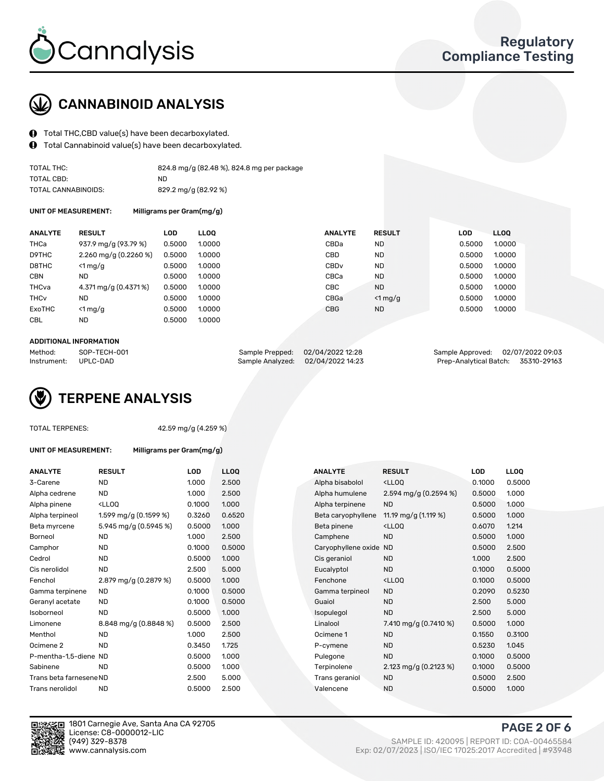

## CANNABINOID ANALYSIS

- Total THC,CBD value(s) have been decarboxylated.
- Total Cannabinoid value(s) have been decarboxylated.

| TOTAL THC:          | 824.8 mg/g (82.48 %), 824.8 mg per package |
|---------------------|--------------------------------------------|
| TOTAL CBD:          | ND.                                        |
| TOTAL CANNABINOIDS: | 829.2 mg/g (82.92 %)                       |

UNIT OF MEASUREMENT: Milligrams per Gram(mg/g)

| <b>ANALYTE</b>         | <b>RESULT</b>             | <b>LOD</b> | <b>LLOO</b> | <b>ANALYTE</b>   | <b>RESULT</b> | <b>LOD</b> | LLOO   |
|------------------------|---------------------------|------------|-------------|------------------|---------------|------------|--------|
| THCa                   | 937.9 mg/g (93.79 %)      | 0.5000     | 1.0000      | CBDa             | <b>ND</b>     | 0.5000     | 1.0000 |
| D9THC                  | $2.260$ mg/g $(0.2260\%)$ | 0.5000     | 1.0000      | CBD              | <b>ND</b>     | 0.5000     | 1.0000 |
| D8THC                  | $<$ 1 mg/g                | 0.5000     | 1.0000      | CBD <sub>v</sub> | <b>ND</b>     | 0.5000     | 1.0000 |
| <b>CBN</b>             | ND.                       | 0.5000     | 1.0000      | CBCa             | <b>ND</b>     | 0.5000     | 1.0000 |
| THCva                  | 4.371 mg/g (0.4371%)      | 0.5000     | 1.0000      | <b>CBC</b>       | <b>ND</b>     | 0.5000     | 1.0000 |
| <b>THC<sub>v</sub></b> | ND                        | 0.5000     | 1.0000      | CBGa             | $<$ 1 mg/g    | 0.5000     | 1.0000 |
| ExoTHC                 | $<$ 1 mg/g                | 0.5000     | 1.0000      | <b>CBG</b>       | <b>ND</b>     | 0.5000     | 1.0000 |
| <b>CBL</b>             | ND                        | 0.5000     | 1.0000      |                  |               |            |        |
|                        |                           |            |             |                  |               |            |        |

#### ADDITIONAL INFORMATION

| Method:              | SOP-TECH-001 | Sample Prepped: 02/04/2022 12:28  | Sample Approved: 02/07/2022 09:03  |  |
|----------------------|--------------|-----------------------------------|------------------------------------|--|
| Instrument: UPLC-DAD |              | Sample Analyzed: 02/04/2022 14:23 | Prep-Analytical Batch: 35310-29163 |  |

## TERPENE ANALYSIS

|  | TOTAL TERPENES: |
|--|-----------------|
|--|-----------------|

 $42.59$  mg/g (4.259 %)

| TUTAL TERPENES.         |                                                                                                             | 42.99 Hig/ 9 (4.299 %) |             |                        |                                      |        |
|-------------------------|-------------------------------------------------------------------------------------------------------------|------------------------|-------------|------------------------|--------------------------------------|--------|
| UNIT OF MEASUREMENT:    | Milligrams per Gram(mg/g)                                                                                   |                        |             |                        |                                      |        |
| <b>ANALYTE</b>          | <b>RESULT</b>                                                                                               | LOD                    | <b>LLOQ</b> | <b>ANALYTE</b>         | <b>RESULT</b>                        | LOD    |
| 3-Carene                | <b>ND</b>                                                                                                   | 1.000                  | 2.500       | Alpha bisabolol        | $<$ LLOO                             | 0.1000 |
| Alpha cedrene           | <b>ND</b>                                                                                                   | 1.000                  | 2.500       | Alpha humulene         | 2.594 mg/g (0.2594 %)                | 0.5000 |
| Alpha pinene            | <lloq< td=""><td>0.1000</td><td>1.000</td><td>Alpha terpinene</td><td><b>ND</b></td><td>0.5000</td></lloq<> | 0.1000                 | 1.000       | Alpha terpinene        | <b>ND</b>                            | 0.5000 |
| Alpha terpineol         | 1.599 mg/g $(0.1599\%)$                                                                                     | 0.3260                 | 0.6520      | Beta caryophyllene     | 11.19 mg/g (1.119 %)                 | 0.5000 |
| Beta myrcene            | 5.945 mg/g (0.5945 %)                                                                                       | 0.5000                 | 1.000       | Beta pinene            | <lloq< td=""><td>0.6070</td></lloq<> | 0.6070 |
| Borneol                 | <b>ND</b>                                                                                                   | 1.000                  | 2.500       | Camphene               | <b>ND</b>                            | 0.5000 |
| Camphor                 | <b>ND</b>                                                                                                   | 0.1000                 | 0.5000      | Caryophyllene oxide ND |                                      | 0.5000 |
| Cedrol                  | <b>ND</b>                                                                                                   | 0.5000                 | 1.000       | Cis geraniol           | <b>ND</b>                            | 1.000  |
| Cis nerolidol           | <b>ND</b>                                                                                                   | 2.500                  | 5.000       | Eucalyptol             | <b>ND</b>                            | 0.1000 |
| Fenchol                 | 2.879 mg/g (0.2879 %)                                                                                       | 0.5000                 | 1.000       | Fenchone               | $<$ LLOO                             | 0.1000 |
| Gamma terpinene         | <b>ND</b>                                                                                                   | 0.1000                 | 0.5000      | Gamma terpineol        | <b>ND</b>                            | 0.2090 |
| Geranyl acetate         | <b>ND</b>                                                                                                   | 0.1000                 | 0.5000      | Guaiol                 | <b>ND</b>                            | 2.500  |
| Isoborneol              | <b>ND</b>                                                                                                   | 0.5000                 | 1.000       | Isopulegol             | <b>ND</b>                            | 2.500  |
| Limonene                | 8.848 mg/g (0.8848 %)                                                                                       | 0.5000                 | 2.500       | Linalool               | 7.410 mg/g (0.7410 %)                | 0.5000 |
| Menthol                 | <b>ND</b>                                                                                                   | 1.000                  | 2.500       | Ocimene 1              | <b>ND</b>                            | 0.1550 |
| Ocimene <sub>2</sub>    | <b>ND</b>                                                                                                   | 0.3450                 | 1.725       | P-cymene               | <b>ND</b>                            | 0.5230 |
| P-mentha-1.5-diene ND   |                                                                                                             | 0.5000                 | 1.000       | Pulegone               | <b>ND</b>                            | 0.1000 |
| Sabinene                | <b>ND</b>                                                                                                   | 0.5000                 | 1.000       | Terpinolene            | 2.123 mg/g (0.2123 %)                | 0.1000 |
| Trans beta farnesene ND |                                                                                                             | 2.500                  | 5.000       | Trans geraniol         | <b>ND</b>                            | 0.5000 |
| Trans nerolidol         | <b>ND</b>                                                                                                   | 0.5000                 | 2.500       | Valencene              | <b>ND</b>                            | 0.5000 |
|                         |                                                                                                             |                        |             |                        |                                      |        |

| ANALIIC                 | ៱⊏งบ∟ı                                                                                                                             | ∟∪ມ    | LLvu   |  | ANALI I C           | ៱∟ง៴∟ı                                              | LUU    | LLUQ   |
|-------------------------|------------------------------------------------------------------------------------------------------------------------------------|--------|--------|--|---------------------|-----------------------------------------------------|--------|--------|
| 3-Carene                | <b>ND</b>                                                                                                                          | 1.000  | 2.500  |  | Alpha bisabolol     | <ll0q< td=""><td>0.1000</td><td>0.5000</td></ll0q<> | 0.1000 | 0.5000 |
| Alpha cedrene           | <b>ND</b>                                                                                                                          | 1.000  | 2.500  |  | Alpha humulene      | 2.594 mg/g $(0.2594\%)$                             | 0.5000 | 1.000  |
| Alpha pinene            | <lloq< td=""><td>0.1000</td><td>1.000</td><td></td><td>Alpha terpinene</td><td><b>ND</b></td><td>0.5000</td><td>1.000</td></lloq<> | 0.1000 | 1.000  |  | Alpha terpinene     | <b>ND</b>                                           | 0.5000 | 1.000  |
| Alpha terpineol         | 1.599 mg/g (0.1599 %)                                                                                                              | 0.3260 | 0.6520 |  | Beta caryophyllene  | 11.19 mg/g (1.119 %)                                | 0.5000 | 1.000  |
| Beta myrcene            | 5.945 mg/g (0.5945 %)                                                                                                              | 0.5000 | 1.000  |  | Beta pinene         | <lloq< td=""><td>0.6070</td><td>1.214</td></lloq<>  | 0.6070 | 1.214  |
| Borneol                 | <b>ND</b>                                                                                                                          | 1.000  | 2.500  |  | Camphene            | <b>ND</b>                                           | 0.5000 | 1.000  |
| Camphor                 | <b>ND</b>                                                                                                                          | 0.1000 | 0.5000 |  | Caryophyllene oxide | <b>ND</b>                                           | 0.5000 | 2.500  |
| Cedrol                  | <b>ND</b>                                                                                                                          | 0.5000 | 1.000  |  | Cis geraniol        | <b>ND</b>                                           | 1.000  | 2.500  |
| Cis nerolidol           | <b>ND</b>                                                                                                                          | 2.500  | 5.000  |  | Eucalyptol          | <b>ND</b>                                           | 0.1000 | 0.5000 |
| Fenchol                 | 2.879 mg/g (0.2879 %)                                                                                                              | 0.5000 | 1.000  |  | Fenchone            | <ll0q< td=""><td>0.1000</td><td>0.5000</td></ll0q<> | 0.1000 | 0.5000 |
| Gamma terpinene         | ND.                                                                                                                                | 0.1000 | 0.5000 |  | Gamma terpineol     | <b>ND</b>                                           | 0.2090 | 0.5230 |
| Geranyl acetate         | ND.                                                                                                                                | 0.1000 | 0.5000 |  | Guaiol              | <b>ND</b>                                           | 2.500  | 5.000  |
| Isoborneol              | <b>ND</b>                                                                                                                          | 0.5000 | 1.000  |  | Isopulegol          | <b>ND</b>                                           | 2.500  | 5.000  |
| Limonene                | 8.848 mg/g (0.8848 %)                                                                                                              | 0.5000 | 2.500  |  | Linalool            | 7.410 mg/g (0.7410 %)                               | 0.5000 | 1.000  |
| Menthol                 | <b>ND</b>                                                                                                                          | 1.000  | 2.500  |  | Ocimene 1           | <b>ND</b>                                           | 0.1550 | 0.3100 |
| Ocimene 2               | <b>ND</b>                                                                                                                          | 0.3450 | 1.725  |  | P-cymene            | <b>ND</b>                                           | 0.5230 | 1.045  |
| P-mentha-1,5-diene ND   |                                                                                                                                    | 0.5000 | 1.000  |  | Pulegone            | <b>ND</b>                                           | 0.1000 | 0.5000 |
| Sabinene                | <b>ND</b>                                                                                                                          | 0.5000 | 1.000  |  | Terpinolene         | 2.123 mg/g $(0.2123\%)$                             | 0.1000 | 0.5000 |
| Trans beta farnesene ND |                                                                                                                                    | 2.500  | 5.000  |  | Trans geraniol      | <b>ND</b>                                           | 0.5000 | 2.500  |
| Trans nerolidol         | <b>ND</b>                                                                                                                          | 0.5000 | 2.500  |  | Valencene           | <b>ND</b>                                           | 0.5000 | 1.000  |
|                         |                                                                                                                                    |        |        |  |                     |                                                     |        |        |



1801 Carnegie Ave, Santa Ana CA 92705 License: C8-0000012-LIC<br>(949) 329-8378 (949) 329-8378 SAMPLE ID: 420095 | REPORT ID: COA-00465584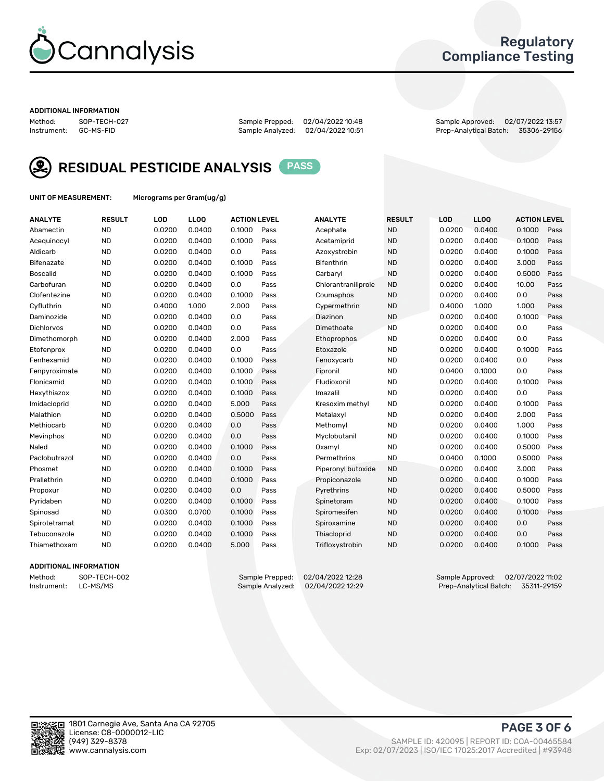

## Regulatory Compliance Testing

#### ADDITIONAL INFORMATION

Sample Analyzed: 02/04/2022 10:51

Method: SOP-TECH-027 Sample Prepped: 02/04/2022 10:48 Sample Approved: 02/07/2022 13:57



RESIDUAL PESTICIDE ANALYSIS PASS

UNIT OF MEASUREMENT: Micrograms per Gram(ug/g)

| <b>ANALYTE</b>    | <b>RESULT</b> | LOD    | LL <sub>OO</sub> | <b>ACTION LEVEL</b> |      | <b>ANALYTE</b>      | <b>RESULT</b> | <b>LOD</b> | <b>LLOQ</b> | <b>ACTION LEVEL</b> |      |
|-------------------|---------------|--------|------------------|---------------------|------|---------------------|---------------|------------|-------------|---------------------|------|
| Abamectin         | <b>ND</b>     | 0.0200 | 0.0400           | 0.1000              | Pass | Acephate            | <b>ND</b>     | 0.0200     | 0.0400      | 0.1000              | Pass |
| Acequinocyl       | <b>ND</b>     | 0.0200 | 0.0400           | 0.1000              | Pass | Acetamiprid         | <b>ND</b>     | 0.0200     | 0.0400      | 0.1000              | Pass |
| Aldicarb          | <b>ND</b>     | 0.0200 | 0.0400           | 0.0                 | Pass | Azoxystrobin        | <b>ND</b>     | 0.0200     | 0.0400      | 0.1000              | Pass |
| Bifenazate        | <b>ND</b>     | 0.0200 | 0.0400           | 0.1000              | Pass | <b>Bifenthrin</b>   | <b>ND</b>     | 0.0200     | 0.0400      | 3.000               | Pass |
| <b>Boscalid</b>   | <b>ND</b>     | 0.0200 | 0.0400           | 0.1000              | Pass | Carbaryl            | <b>ND</b>     | 0.0200     | 0.0400      | 0.5000              | Pass |
| Carbofuran        | <b>ND</b>     | 0.0200 | 0.0400           | 0.0                 | Pass | Chlorantraniliprole | <b>ND</b>     | 0.0200     | 0.0400      | 10.00               | Pass |
| Clofentezine      | <b>ND</b>     | 0.0200 | 0.0400           | 0.1000              | Pass | Coumaphos           | <b>ND</b>     | 0.0200     | 0.0400      | 0.0                 | Pass |
| Cyfluthrin        | <b>ND</b>     | 0.4000 | 1.000            | 2.000               | Pass | Cypermethrin        | <b>ND</b>     | 0.4000     | 1.000       | 1.000               | Pass |
| Daminozide        | <b>ND</b>     | 0.0200 | 0.0400           | 0.0                 | Pass | Diazinon            | <b>ND</b>     | 0.0200     | 0.0400      | 0.1000              | Pass |
| <b>Dichlorvos</b> | <b>ND</b>     | 0.0200 | 0.0400           | 0.0                 | Pass | Dimethoate          | <b>ND</b>     | 0.0200     | 0.0400      | 0.0                 | Pass |
| Dimethomorph      | <b>ND</b>     | 0.0200 | 0.0400           | 2.000               | Pass | Ethoprophos         | <b>ND</b>     | 0.0200     | 0.0400      | 0.0                 | Pass |
| Etofenprox        | <b>ND</b>     | 0.0200 | 0.0400           | 0.0                 | Pass | Etoxazole           | <b>ND</b>     | 0.0200     | 0.0400      | 0.1000              | Pass |
| Fenhexamid        | <b>ND</b>     | 0.0200 | 0.0400           | 0.1000              | Pass | Fenoxycarb          | <b>ND</b>     | 0.0200     | 0.0400      | 0.0                 | Pass |
| Fenpyroximate     | <b>ND</b>     | 0.0200 | 0.0400           | 0.1000              | Pass | Fipronil            | <b>ND</b>     | 0.0400     | 0.1000      | 0.0                 | Pass |
| Flonicamid        | <b>ND</b>     | 0.0200 | 0.0400           | 0.1000              | Pass | Fludioxonil         | <b>ND</b>     | 0.0200     | 0.0400      | 0.1000              | Pass |
| Hexythiazox       | <b>ND</b>     | 0.0200 | 0.0400           | 0.1000              | Pass | Imazalil            | <b>ND</b>     | 0.0200     | 0.0400      | 0.0                 | Pass |
| Imidacloprid      | <b>ND</b>     | 0.0200 | 0.0400           | 5.000               | Pass | Kresoxim methyl     | <b>ND</b>     | 0.0200     | 0.0400      | 0.1000              | Pass |
| Malathion         | <b>ND</b>     | 0.0200 | 0.0400           | 0.5000              | Pass | Metalaxyl           | <b>ND</b>     | 0.0200     | 0.0400      | 2.000               | Pass |
| Methiocarb        | <b>ND</b>     | 0.0200 | 0.0400           | 0.0                 | Pass | Methomyl            | <b>ND</b>     | 0.0200     | 0.0400      | 1.000               | Pass |
| Mevinphos         | <b>ND</b>     | 0.0200 | 0.0400           | 0.0                 | Pass | Myclobutanil        | <b>ND</b>     | 0.0200     | 0.0400      | 0.1000              | Pass |
| Naled             | <b>ND</b>     | 0.0200 | 0.0400           | 0.1000              | Pass | Oxamyl              | <b>ND</b>     | 0.0200     | 0.0400      | 0.5000              | Pass |
| Paclobutrazol     | <b>ND</b>     | 0.0200 | 0.0400           | 0.0                 | Pass | Permethrins         | <b>ND</b>     | 0.0400     | 0.1000      | 0.5000              | Pass |
| Phosmet           | <b>ND</b>     | 0.0200 | 0.0400           | 0.1000              | Pass | Piperonyl butoxide  | <b>ND</b>     | 0.0200     | 0.0400      | 3.000               | Pass |
| Prallethrin       | <b>ND</b>     | 0.0200 | 0.0400           | 0.1000              | Pass | Propiconazole       | <b>ND</b>     | 0.0200     | 0.0400      | 0.1000              | Pass |
| Propoxur          | <b>ND</b>     | 0.0200 | 0.0400           | 0.0                 | Pass | Pyrethrins          | <b>ND</b>     | 0.0200     | 0.0400      | 0.5000              | Pass |
| Pyridaben         | <b>ND</b>     | 0.0200 | 0.0400           | 0.1000              | Pass | Spinetoram          | <b>ND</b>     | 0.0200     | 0.0400      | 0.1000              | Pass |
| Spinosad          | <b>ND</b>     | 0.0300 | 0.0700           | 0.1000              | Pass | Spiromesifen        | <b>ND</b>     | 0.0200     | 0.0400      | 0.1000              | Pass |
| Spirotetramat     | <b>ND</b>     | 0.0200 | 0.0400           | 0.1000              | Pass | Spiroxamine         | <b>ND</b>     | 0.0200     | 0.0400      | 0.0                 | Pass |
| Tebuconazole      | <b>ND</b>     | 0.0200 | 0.0400           | 0.1000              | Pass | Thiacloprid         | <b>ND</b>     | 0.0200     | 0.0400      | 0.0                 | Pass |
| Thiamethoxam      | <b>ND</b>     | 0.0200 | 0.0400           | 5.000               | Pass | Trifloxystrobin     | <b>ND</b>     | 0.0200     | 0.0400      | 0.1000              | Pass |

#### ADDITIONAL INFORMATION

Method: SOP-TECH-002 Sample Prepped: 02/04/2022 12:28 Sample Approved: 02/07/2022 11:02<br>Instrument: LC-MS/MS Sample Analyzed: 02/04/2022 12:29 Prep-Analytical Batch: 35311-29159 Prep-Analytical Batch: 35311-29159

PAGE 3 OF 6

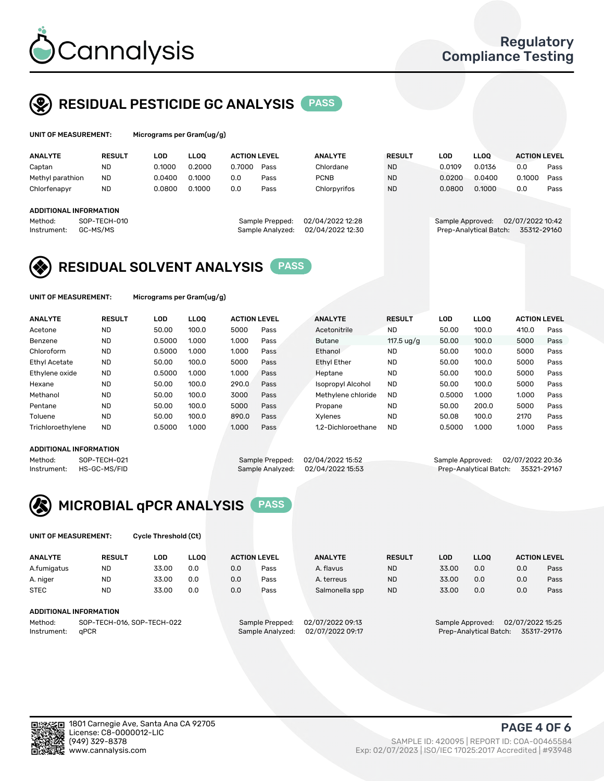

## RESIDUAL PESTICIDE GC ANALYSIS PASS

| UNIT OF MEASUREMENT: |                        | Micrograms per Gram(ug/g) |             |                     |                  |                  |               |        |                        |                     |      |
|----------------------|------------------------|---------------------------|-------------|---------------------|------------------|------------------|---------------|--------|------------------------|---------------------|------|
| <b>ANALYTE</b>       | <b>RESULT</b>          | LOD                       | <b>LLOO</b> | <b>ACTION LEVEL</b> |                  | <b>ANALYTE</b>   | <b>RESULT</b> | LOD    | <b>LLOO</b>            | <b>ACTION LEVEL</b> |      |
| Captan               | ND                     | 0.1000                    | 0.2000      | 0.7000              | Pass             | Chlordane        | <b>ND</b>     | 0.0109 | 0.0136                 | 0.0                 | Pass |
| Methyl parathion     | <b>ND</b>              | 0.0400                    | 0.1000      | 0.0                 | Pass             | <b>PCNB</b>      | <b>ND</b>     | 0.0200 | 0.0400                 | 0.1000              | Pass |
| Chlorfenapyr         | <b>ND</b>              | 0.0800                    | 0.1000      | 0.0                 | Pass             | Chlorpyrifos     | <b>ND</b>     | 0.0800 | 0.1000                 | 0.0                 | Pass |
|                      | ADDITIONAL INFORMATION |                           |             |                     |                  |                  |               |        |                        |                     |      |
| Method:              | SOP-TECH-010           |                           |             |                     | Sample Prepped:  | 02/04/2022 12:28 |               |        | Sample Approved:       | 02/07/2022 10:42    |      |
| Instrument:          | GC-MS/MS               |                           |             |                     | Sample Analyzed: | 02/04/2022 12:30 |               |        | Prep-Analytical Batch: | 35312-29160         |      |

## RESIDUAL SOLVENT ANALYSIS PASS

UNIT OF MEASUREMENT: Micrograms per Gram(ug/g)

| <b>ANALYTE</b>       | <b>RESULT</b> | <b>LOD</b> | <b>LLOO</b> | <b>ACTION LEVEL</b> |      | <b>ANALYTE</b>     | <b>RESULT</b>       | LOD    | <b>LLOO</b> | <b>ACTION LEVEL</b> |      |
|----------------------|---------------|------------|-------------|---------------------|------|--------------------|---------------------|--------|-------------|---------------------|------|
| Acetone              | <b>ND</b>     | 50.00      | 100.0       | 5000                | Pass | Acetonitrile       | <b>ND</b>           | 50.00  | 100.0       | 410.0               | Pass |
| Benzene              | <b>ND</b>     | 0.5000     | 1.000       | 1.000               | Pass | <b>Butane</b>      | 117.5 $\frac{u}{q}$ | 50.00  | 100.0       | 5000                | Pass |
| Chloroform           | <b>ND</b>     | 0.5000     | 1.000       | 1.000               | Pass | Ethanol            | <b>ND</b>           | 50.00  | 100.0       | 5000                | Pass |
| <b>Ethyl Acetate</b> | <b>ND</b>     | 50.00      | 100.0       | 5000                | Pass | <b>Ethyl Ether</b> | <b>ND</b>           | 50.00  | 100.0       | 5000                | Pass |
| Ethylene oxide       | <b>ND</b>     | 0.5000     | 1.000       | 1.000               | Pass | Heptane            | <b>ND</b>           | 50.00  | 100.0       | 5000                | Pass |
| Hexane               | <b>ND</b>     | 50.00      | 100.0       | 290.0               | Pass | Isopropyl Alcohol  | <b>ND</b>           | 50.00  | 100.0       | 5000                | Pass |
| Methanol             | <b>ND</b>     | 50.00      | 100.0       | 3000                | Pass | Methylene chloride | <b>ND</b>           | 0.5000 | 1.000       | 1.000               | Pass |
| Pentane              | <b>ND</b>     | 50.00      | 100.0       | 5000                | Pass | Propane            | <b>ND</b>           | 50.00  | 200.0       | 5000                | Pass |
| Toluene              | <b>ND</b>     | 50.00      | 100.0       | 890.0               | Pass | Xvlenes            | <b>ND</b>           | 50.08  | 100.0       | 2170                | Pass |
| Trichloroethylene    | <b>ND</b>     | 0.5000     | 1.000       | 1.000               | Pass | 1.2-Dichloroethane | <b>ND</b>           | 0.5000 | 1.000       | 1.000               | Pass |

#### ADDITIONAL INFORMATION

Method: SOP-TECH-021 Sample Prepped: 02/04/2022 15:52 Sample Approved: 02/07/2022 20:36<br>Sample Analyzed: 02/04/2022 15:53 Prep-Analytical Batch: 35321-29167 Prep-Analytical Batch: 35321-29167



UNIT OF MEASUREMENT: Cycle Threshold (Ct)

| <b>ANALYTE</b> | <b>RESULT</b>              | LOD   | <b>LLOO</b> |     | <b>ACTION LEVEL</b> | <b>ANALYTE</b>   | <b>RESULT</b> | <b>LOD</b> | <b>LLOO</b>      |                  | <b>ACTION LEVEL</b> |
|----------------|----------------------------|-------|-------------|-----|---------------------|------------------|---------------|------------|------------------|------------------|---------------------|
| A.fumigatus    | ND                         | 33.00 | 0.0         | 0.0 | Pass                | A. flavus        | <b>ND</b>     | 33.00      | 0.0              | 0.0              | Pass                |
| A. niger       | <b>ND</b>                  | 33.00 | 0.0         | 0.0 | Pass                | A. terreus       | <b>ND</b>     | 33.00      | 0.0              | 0.0              | Pass                |
| <b>STEC</b>    | <b>ND</b>                  | 33.00 | 0.0         | 0.0 | Pass                | Salmonella spp   | <b>ND</b>     | 33.00      | 0.0              | 0.0              | Pass                |
|                | ADDITIONAL INFORMATION     |       |             |     |                     |                  |               |            |                  |                  |                     |
| Method:        | SOP-TECH-016, SOP-TECH-022 |       |             |     | Sample Prepped:     | 02/07/2022 09:13 |               |            | Sample Approved: | 02/07/2022 15:25 |                     |

Instrument: qPCR Sample Analyzed: 02/07/2022 09:17 Prep-Analytical Batch: 35317-29176

PAGE 4 OF 6

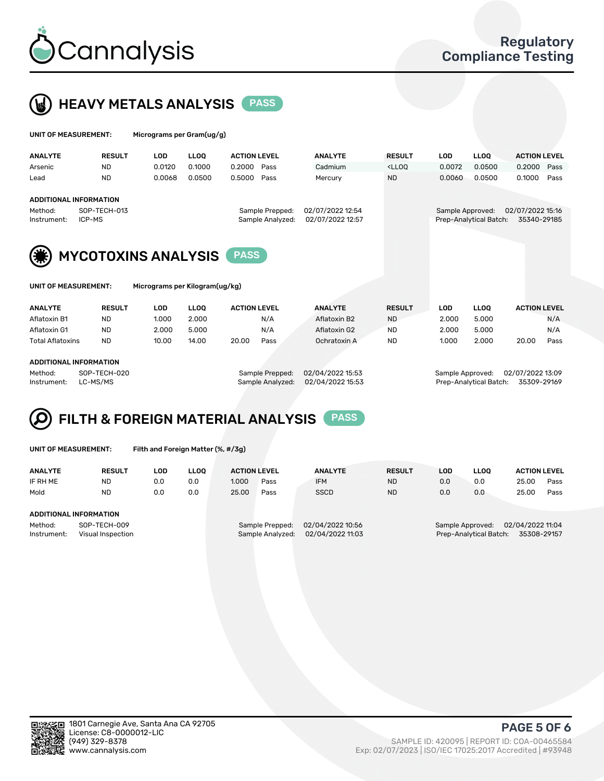



| UNIT OF MEASUREMENT: | Micrograms per Gram(ug/g) |
|----------------------|---------------------------|
|                      |                           |

| <b>ANALYTE</b>          | <b>RESULT</b> | LOD    | <b>LLOO</b>     | <b>ACTION LEVEL</b> | <b>ANALYTE</b>                       | <b>RESULT</b>                                                                    | LOD    | <b>LLOO</b>            | <b>ACTION LEVEL</b> |      |
|-------------------------|---------------|--------|-----------------|---------------------|--------------------------------------|----------------------------------------------------------------------------------|--------|------------------------|---------------------|------|
| Arsenic                 | <b>ND</b>     | 0.0120 | 0.1000          | 0.2000 Pass         | Cadmium                              | <lloo< td=""><td>0.0072</td><td>0.0500</td><td>0.2000 Pass</td><td></td></lloo<> | 0.0072 | 0.0500                 | 0.2000 Pass         |      |
| Lead                    | <b>ND</b>     | 0.0068 | 0.0500          | 0.5000 Pass         | Mercury                              | <b>ND</b>                                                                        | 0.0060 | 0.0500                 | 0.1000              | Pass |
|                         |               |        |                 |                     |                                      |                                                                                  |        |                        |                     |      |
| ADDITIONAL INFORMATION  |               |        |                 |                     |                                      |                                                                                  |        |                        |                     |      |
| SOP-TECH-013<br>Method: |               |        | Sample Prepped: |                     | 02/07/2022 15:16<br>Sample Approved: |                                                                                  |        |                        |                     |      |
| Instrument:             | ICP-MS        |        |                 | Sample Analyzed:    | 02/07/2022 12:57                     |                                                                                  |        | Prep-Analytical Batch: | 35340-29185         |      |
|                         |               |        |                 |                     |                                      |                                                                                  |        |                        |                     |      |



| UNIT OF MEASUREMENT: |
|----------------------|
|----------------------|

Micrograms per Kilogram(ug/kg)

| <b>ANALYTE</b>          | <b>RESULT</b> | LOD   | <b>LLOO</b> | <b>ACTION LEVEL</b> |      | <b>ANALYTE</b> | <b>RESULT</b> | LOD   | <b>LLOO</b> | <b>ACTION LEVEL</b> |      |
|-------------------------|---------------|-------|-------------|---------------------|------|----------------|---------------|-------|-------------|---------------------|------|
| Aflatoxin B1            | <b>ND</b>     | 1.000 | 2.000       |                     | N/A  | Aflatoxin B2   | <b>ND</b>     | 2.000 | 5.000       |                     | N/A  |
| Aflatoxin G1            | <b>ND</b>     | 2.000 | 5.000       |                     | N/A  | Aflatoxin G2   | <b>ND</b>     | 2.000 | 5.000       |                     | N/A  |
| <b>Total Aflatoxins</b> | <b>ND</b>     | 10.00 | 14.00       | 20.00               | Pass | Ochratoxin A   | <b>ND</b>     | 1.000 | 2.000       | 20.00               | Pass |
|                         |               |       |             |                     |      |                |               |       |             |                     |      |

#### ADDITIONAL INFORMATION

Method: SOP-TECH-020 Sample Prepped: 02/04/2022 15:53 Sample Approved: 02/07/2022 13:09 Instrument: LC-MS/MS Sample Analyzed: 02/04/2022 15:53 Prep-Analytical Batch: 35309-29169

# FILTH & FOREIGN MATERIAL ANALYSIS PASS

UNIT OF MEASUREMENT: Filth and Foreign Matter (%, #/3g)

| <b>ANALYTE</b>                                              | <b>RESULT</b>          | LOD | <b>LLOO</b> | <b>ACTION LEVEL</b> |                                     | <b>ANALYTE</b>                       | <b>RESULT</b>                                                                 | LOD | <b>LLOO</b> | <b>ACTION LEVEL</b> |      |
|-------------------------------------------------------------|------------------------|-----|-------------|---------------------|-------------------------------------|--------------------------------------|-------------------------------------------------------------------------------|-----|-------------|---------------------|------|
| IF RH ME                                                    | <b>ND</b>              | 0.0 | 0.0         | 1.000               | Pass                                | <b>IFM</b>                           | <b>ND</b>                                                                     | 0.0 | 0.0         | 25.00               | Pass |
| Mold                                                        | <b>ND</b>              | 0.0 | 0.0         | 25.00               | Pass                                | <b>SSCD</b>                          | <b>ND</b>                                                                     | 0.0 | 0.0         | 25.00               | Pass |
|                                                             | ADDITIONAL INFORMATION |     |             |                     |                                     |                                      |                                                                               |     |             |                     |      |
| Method:<br>SOP-TECH-009<br>Instrument:<br>Visual Inspection |                        |     |             |                     | Sample Prepped:<br>Sample Analyzed: | 02/04/2022 10:56<br>02/04/2022 11:03 | 02/04/2022 11:04<br>Sample Approved:<br>35308-29157<br>Prep-Analytical Batch: |     |             |                     |      |